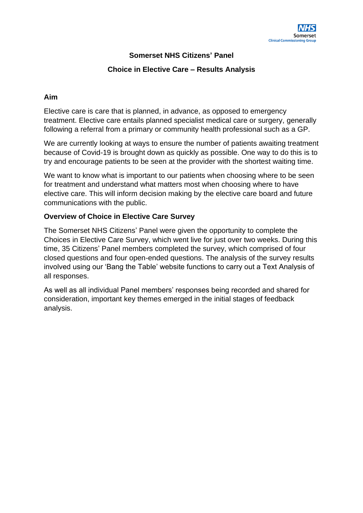

# **Somerset NHS Citizens' Panel**

#### **Choice in Elective Care – Results Analysis**

#### **Aim**

Elective care is care that is planned, in advance, as opposed to emergency treatment. Elective care entails planned specialist medical care or surgery, generally following a referral from a primary or community health professional such as a GP.

We are currently looking at ways to ensure the number of patients awaiting treatment because of Covid-19 is brought down as quickly as possible. One way to do this is to try and encourage patients to be seen at the provider with the shortest waiting time.

We want to know what is important to our patients when choosing where to be seen for treatment and understand what matters most when choosing where to have elective care. This will inform decision making by the elective care board and future communications with the public.

#### **Overview of Choice in Elective Care Survey**

The Somerset NHS Citizens' Panel were given the opportunity to complete the Choices in Elective Care Survey, which went live for just over two weeks. During this time, 35 Citizens' Panel members completed the survey, which comprised of four closed questions and four open-ended questions. The analysis of the survey results involved using our 'Bang the Table' website functions to carry out a Text Analysis of all responses.

As well as all individual Panel members' responses being recorded and shared for consideration, important key themes emerged in the initial stages of feedback analysis.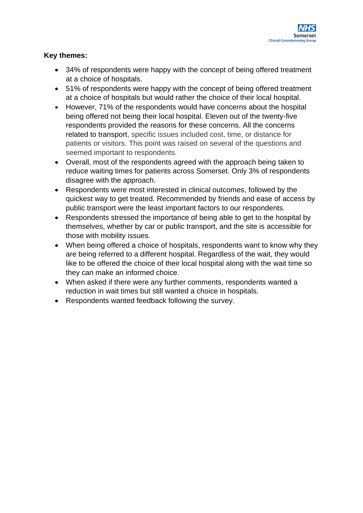

## **Key themes:**

- 34% of respondents were happy with the concept of being offered treatment at a choice of hospitals.
- 51% of respondents were happy with the concept of being offered treatment at a choice of hospitals but would rather the choice of their local hospital.
- However, 71% of the respondents would have concerns about the hospital being offered not being their local hospital. Eleven out of the twenty-five respondents provided the reasons for these concerns. All the concerns related to transport, specific issues included cost, time, or distance for patients or visitors. This point was raised on several of the questions and seemed important to respondents.
- Overall, most of the respondents agreed with the approach being taken to reduce waiting times for patients across Somerset. Only 3% of respondents disagree with the approach.
- Respondents were most interested in clinical outcomes, followed by the quickest way to get treated. Recommended by friends and ease of access by public transport were the least important factors to our respondents.
- Respondents stressed the importance of being able to get to the hospital by themselves, whether by car or public transport, and the site is accessible for those with mobility issues.
- When being offered a choice of hospitals, respondents want to know why they are being referred to a different hospital. Regardless of the wait, they would like to be offered the choice of their local hospital along with the wait time so they can make an informed choice.
- When asked if there were any further comments, respondents wanted a reduction in wait times but still wanted a choice in hospitals.
- Respondents wanted feedback following the survey.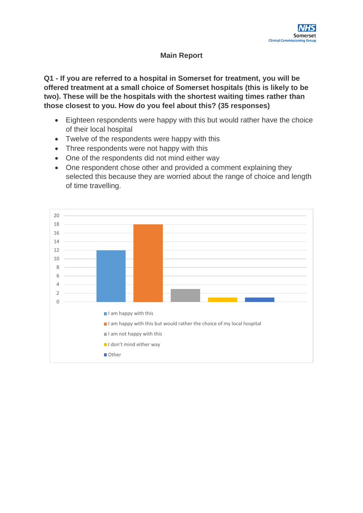# **Main Report**

**Q1 - If you are referred to a hospital in Somerset for treatment, you will be offered treatment at a small choice of Somerset hospitals (this is likely to be two). These will be the hospitals with the shortest waiting times rather than those closest to you. How do you feel about this? (35 responses)**

- Eighteen respondents were happy with this but would rather have the choice of their local hospital
- Twelve of the respondents were happy with this
- Three respondents were not happy with this
- One of the respondents did not mind either way
- One respondent chose other and provided a comment explaining they selected this because they are worried about the range of choice and length of time travelling.

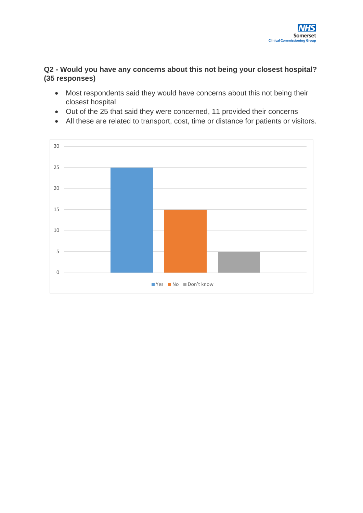

### **Q2 - Would you have any concerns about this not being your closest hospital? (35 responses)**

- Most respondents said they would have concerns about this not being their closest hospital
- Out of the 25 that said they were concerned, 11 provided their concerns
- All these are related to transport, cost, time or distance for patients or visitors.

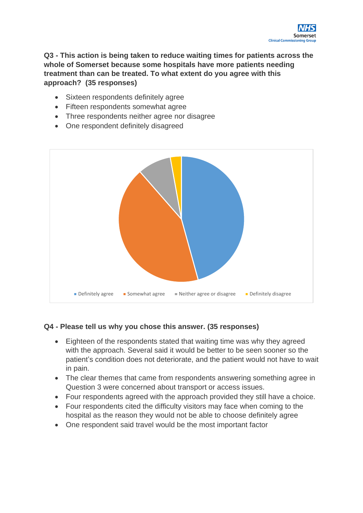

**Q3 - This action is being taken to reduce waiting times for patients across the whole of Somerset because some hospitals have more patients needing treatment than can be treated. To what extent do you agree with this approach? (35 responses)**

- Sixteen respondents definitely agree
- Fifteen respondents somewhat agree
- Three respondents neither agree nor disagree
- One respondent definitely disagreed



#### **Q4 - Please tell us why you chose this answer. (35 responses)**

- Eighteen of the respondents stated that waiting time was why they agreed with the approach. Several said it would be better to be seen sooner so the patient's condition does not deteriorate, and the patient would not have to wait in pain.
- The clear themes that came from respondents answering something agree in Question 3 were concerned about transport or access issues.
- Four respondents agreed with the approach provided they still have a choice.
- Four respondents cited the difficulty visitors may face when coming to the hospital as the reason they would not be able to choose definitely agree
- One respondent said travel would be the most important factor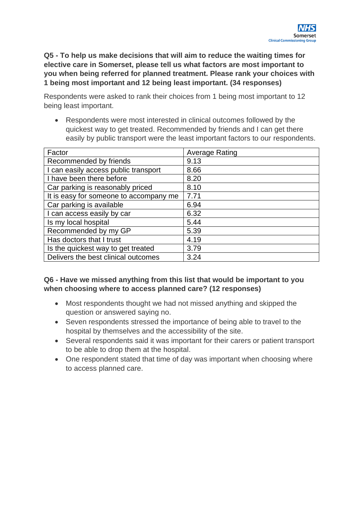**Q5 - To help us make decisions that will aim to reduce the waiting times for elective care in Somerset, please tell us what factors are most important to you when being referred for planned treatment. Please rank your choices with 1 being most important and 12 being least important. (34 responses)**

Respondents were asked to rank their choices from 1 being most important to 12 being least important.

• Respondents were most interested in clinical outcomes followed by the quickest way to get treated. Recommended by friends and I can get there easily by public transport were the least important factors to our respondents.

| Factor                                 | <b>Average Rating</b> |
|----------------------------------------|-----------------------|
| Recommended by friends                 | 9.13                  |
| I can easily access public transport   | 8.66                  |
| I have been there before               | 8.20                  |
| Car parking is reasonably priced       | 8.10                  |
| It is easy for someone to accompany me | 7.71                  |
| Car parking is available               | 6.94                  |
| I can access easily by car             | 6.32                  |
| Is my local hospital                   | 5.44                  |
| Recommended by my GP                   | 5.39                  |
| Has doctors that I trust               | 4.19                  |
| Is the quickest way to get treated     | 3.79                  |
| Delivers the best clinical outcomes    | 3.24                  |

# **Q6 - Have we missed anything from this list that would be important to you when choosing where to access planned care? (12 responses)**

- Most respondents thought we had not missed anything and skipped the question or answered saying no.
- Seven respondents stressed the importance of being able to travel to the hospital by themselves and the accessibility of the site.
- Several respondents said it was important for their carers or patient transport to be able to drop them at the hospital.
- One respondent stated that time of day was important when choosing where to access planned care.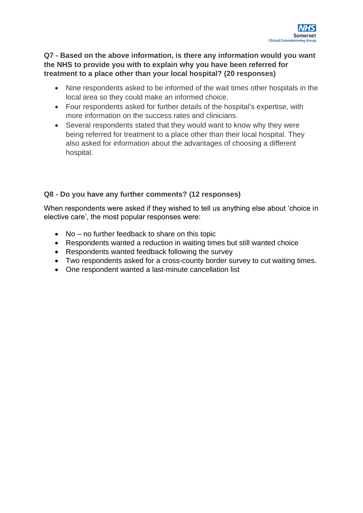

# **Q7 - Based on the above information, is there any information would you want the NHS to provide you with to explain why you have been referred for treatment to a place other than your local hospital? (20 responses)**

- Nine respondents asked to be informed of the wait times other hospitals in the local area so they could make an informed choice.
- Four respondents asked for further details of the hospital's expertise, with more information on the success rates and clinicians.
- Several respondents stated that they would want to know why they were being referred for treatment to a place other than their local hospital. They also asked for information about the advantages of choosing a different hospital.

### **Q8 - Do you have any further comments? (12 responses)**

When respondents were asked if they wished to tell us anything else about 'choice in elective care', the most popular responses were:

- No no further feedback to share on this topic
- Respondents wanted a reduction in waiting times but still wanted choice
- Respondents wanted feedback following the survey
- Two respondents asked for a cross-county border survey to cut waiting times.
- One respondent wanted a last-minute cancellation list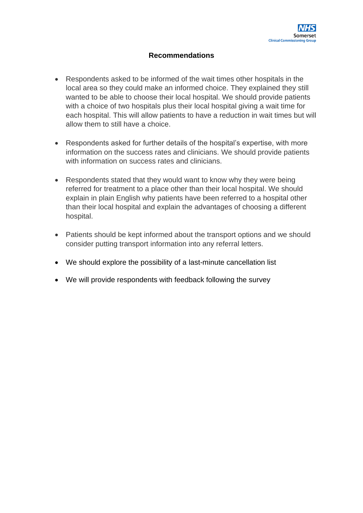## **Recommendations**

- Respondents asked to be informed of the wait times other hospitals in the local area so they could make an informed choice. They explained they still wanted to be able to choose their local hospital. We should provide patients with a choice of two hospitals plus their local hospital giving a wait time for each hospital. This will allow patients to have a reduction in wait times but will allow them to still have a choice.
- Respondents asked for further details of the hospital's expertise, with more information on the success rates and clinicians. We should provide patients with information on success rates and clinicians.
- Respondents stated that they would want to know why they were being referred for treatment to a place other than their local hospital. We should explain in plain English why patients have been referred to a hospital other than their local hospital and explain the advantages of choosing a different hospital.
- Patients should be kept informed about the transport options and we should consider putting transport information into any referral letters.
- We should explore the possibility of a last-minute cancellation list
- We will provide respondents with feedback following the survey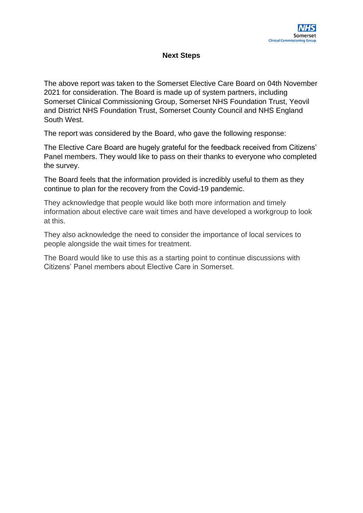# **Next Steps**

The above report was taken to the Somerset Elective Care Board on 04th November 2021 for consideration. The Board is made up of system partners, including Somerset Clinical Commissioning Group, Somerset NHS Foundation Trust, Yeovil and District NHS Foundation Trust, Somerset County Council and NHS England South West.

The report was considered by the Board, who gave the following response:

The Elective Care Board are hugely grateful for the feedback received from Citizens' Panel members. They would like to pass on their thanks to everyone who completed the survey.

The Board feels that the information provided is incredibly useful to them as they continue to plan for the recovery from the Covid-19 pandemic.

They acknowledge that people would like both more information and timely information about elective care wait times and have developed a workgroup to look at this.

They also acknowledge the need to consider the importance of local services to people alongside the wait times for treatment.

The Board would like to use this as a starting point to continue discussions with Citizens' Panel members about Elective Care in Somerset.